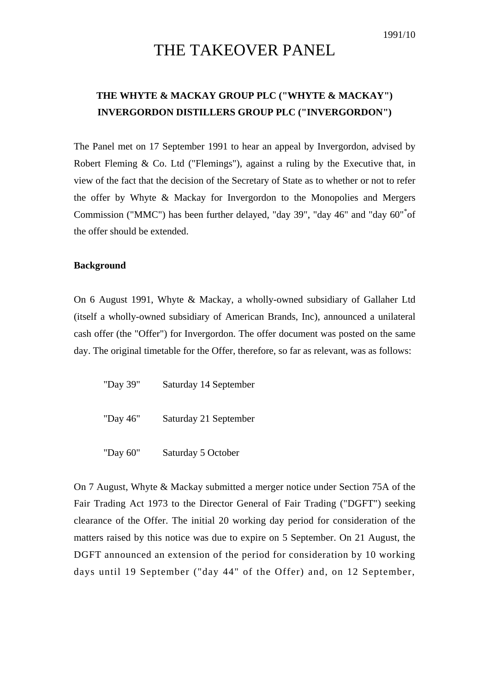## THE TAKEOVER PANEL

## **THE WHYTE & MACKAY GROUP PLC ("WHYTE & MACKAY") INVERGORDON DISTILLERS GROUP PLC ("INVERGORDON")**

The Panel met on 17 September 1991 to hear an appeal by Invergordon, advised by Robert Fleming & Co. Ltd ("Flemings"), against a ruling by the Executive that, in view of the fact that the decision of the Secretary of State as to whether or not to refer the offer by Whyte & Mackay for Invergordon to the Monopolies and Mergers Commission ("MMC") has been further delayed, "day 39", "day 46" and "day 60"[\\*](#page-3-0) of the offer should be extended.

## **Background**

On 6 August 1991, Whyte & Mackay, a wholly-owned subsidiary of Gallaher Ltd (itself a wholly-owned subsidiary of American Brands, Inc), announced a unilateral cash offer (the "Offer") for Invergordon. The offer document was posted on the same day. The original timetable for the Offer, therefore, so far as relevant, was as follows:

| "Day 39" | Saturday 14 September |
|----------|-----------------------|
| "Day 46" | Saturday 21 September |
| "Day 60" | Saturday 5 October    |

On 7 August, Whyte & Mackay submitted a merger notice under Section 75A of the Fair Trading Act 1973 to the Director General of Fair Trading ("DGFT") seeking clearance of the Offer. The initial 20 working day period for consideration of the matters raised by this notice was due to expire on 5 September. On 21 August, the DGFT announced an extension of the period for consideration by 10 working days until 19 September ("day 44" of the Offer) and, on 12 September,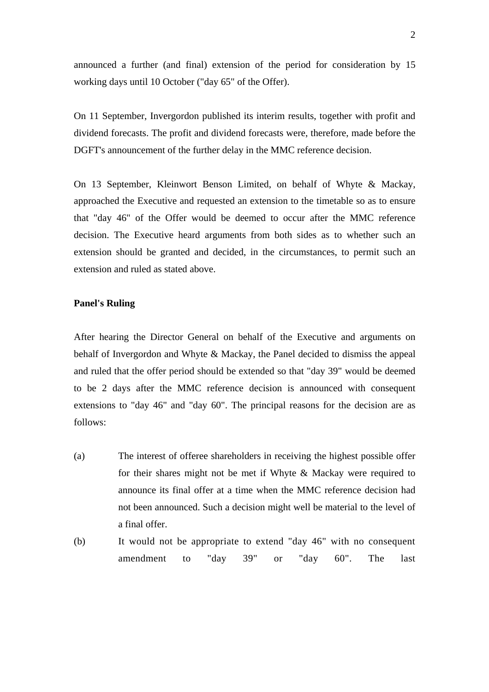announced a further (and final) extension of the period for consideration by 15 working days until 10 October ("day 65" of the Offer).

On 11 September, Invergordon published its interim results, together with profit and dividend forecasts. The profit and dividend forecasts were, therefore, made before the DGFT's announcement of the further delay in the MMC reference decision.

On 13 September, Kleinwort Benson Limited, on behalf of Whyte & Mackay, approached the Executive and requested an extension to the timetable so as to ensure that "day 46" of the Offer would be deemed to occur after the MMC reference decision. The Executive heard arguments from both sides as to whether such an extension should be granted and decided, in the circumstances, to permit such an extension and ruled as stated above.

## **Panel's Ruling**

After hearing the Director General on behalf of the Executive and arguments on behalf of Invergordon and Whyte & Mackay, the Panel decided to dismiss the appeal and ruled that the offer period should be extended so that "day 39" would be deemed to be 2 days after the MMC reference decision is announced with consequent extensions to "day 46" and "day 60". The principal reasons for the decision are as follows:

- (a) The interest of offeree shareholders in receiving the highest possible offer for their shares might not be met if Whyte & Mackay were required to announce its final offer at a time when the MMC reference decision had not been announced. Such a decision might well be material to the level of a final offer.
- (b) It would not be appropriate to extend "day 46" with no consequent amendment to "day 39" or "day 60". The last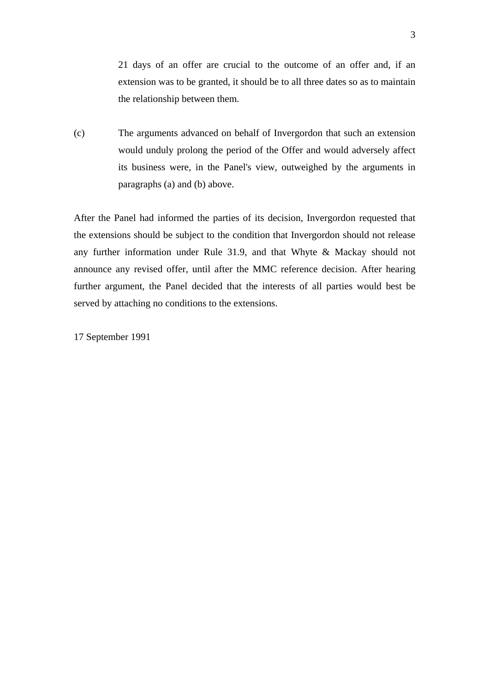21 days of an offer are crucial to the outcome of an offer and, if an extension was to be granted, it should be to all three dates so as to maintain the relationship between them.

(c) The arguments advanced on behalf of Invergordon that such an extension would unduly prolong the period of the Offer and would adversely affect its business were, in the Panel's view, outweighed by the arguments in paragraphs (a) and (b) above.

After the Panel had informed the parties of its decision, Invergordon requested that the extensions should be subject to the condition that Invergordon should not release any further information under Rule 31.9, and that Whyte & Mackay should not announce any revised offer, until after the MMC reference decision. After hearing further argument, the Panel decided that the interests of all parties would best be served by attaching no conditions to the extensions.

17 September 1991